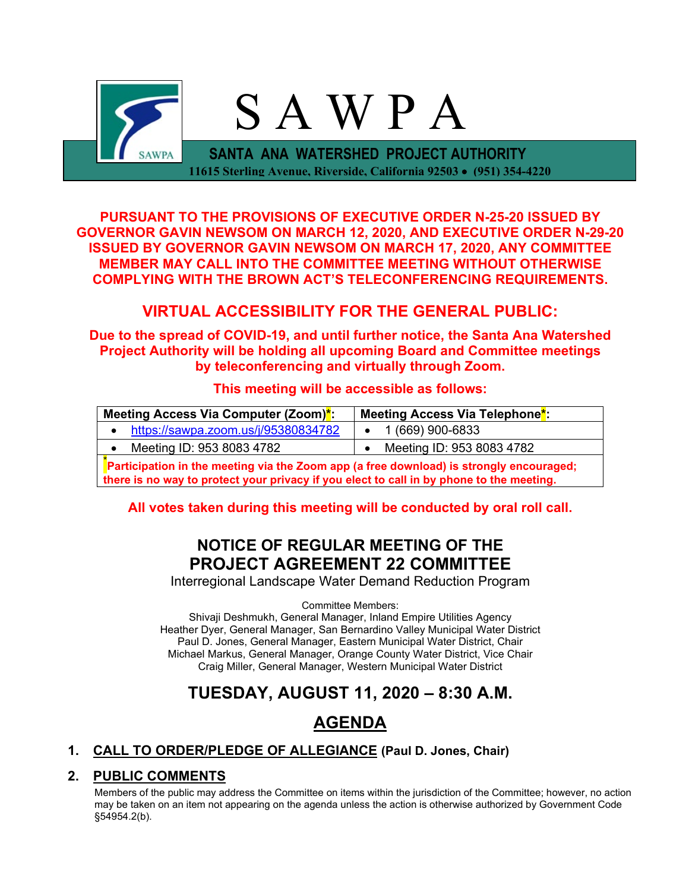

**PURSUANT TO THE PROVISIONS OF EXECUTIVE ORDER N-25-20 ISSUED BY GOVERNOR GAVIN NEWSOM ON MARCH 12, 2020, AND EXECUTIVE ORDER N-29-20 ISSUED BY GOVERNOR GAVIN NEWSOM ON MARCH 17, 2020, ANY COMMITTEE MEMBER MAY CALL INTO THE COMMITTEE MEETING WITHOUT OTHERWISE COMPLYING WITH THE BROWN ACT'S TELECONFERENCING REQUIREMENTS.**

## **VIRTUAL ACCESSIBILITY FOR THE GENERAL PUBLIC:**

**Due to the spread of COVID-19, and until further notice, the Santa Ana Watershed Project Authority will be holding all upcoming Board and Committee meetings by teleconferencing and virtually through Zoom.**

## **This meeting will be accessible as follows:**

| Meeting Access Via Computer (Zoom)*:                                                    | Meeting Access Via Telephone <sup>*</sup> |  |  |
|-----------------------------------------------------------------------------------------|-------------------------------------------|--|--|
| https://sawpa.zoom.us/j/95380834782                                                     | $\bullet$ 1 (669) 900-6833                |  |  |
| Meeting ID: 953 8083 4782                                                               | Meeting ID: 953 8083 4782                 |  |  |
| Participation in the meeting via the Zoom app (a free download) is strongly encouraged; |                                           |  |  |

**there is no way to protect your privacy if you elect to call in by phone to the meeting.**

## **All votes taken during this meeting will be conducted by oral roll call.**

# **NOTICE OF REGULAR MEETING OF THE PROJECT AGREEMENT 22 COMMITTEE**

Interregional Landscape Water Demand Reduction Program

Committee Members:

Shivaji Deshmukh, General Manager, Inland Empire Utilities Agency Heather Dyer, General Manager, San Bernardino Valley Municipal Water District Paul D. Jones, General Manager, Eastern Municipal Water District, Chair Michael Markus, General Manager, Orange County Water District, Vice Chair Craig Miller, General Manager, Western Municipal Water District

# **TUESDAY, AUGUST 11, 2020 – 8:30 A.M.**

# **AGENDA**

## **1. CALL TO ORDER/PLEDGE OF ALLEGIANCE (Paul D. Jones, Chair)**

## **2. PUBLIC COMMENTS**

Members of the public may address the Committee on items within the jurisdiction of the Committee; however, no action may be taken on an item not appearing on the agenda unless the action is otherwise authorized by Government Code §54954.2(b).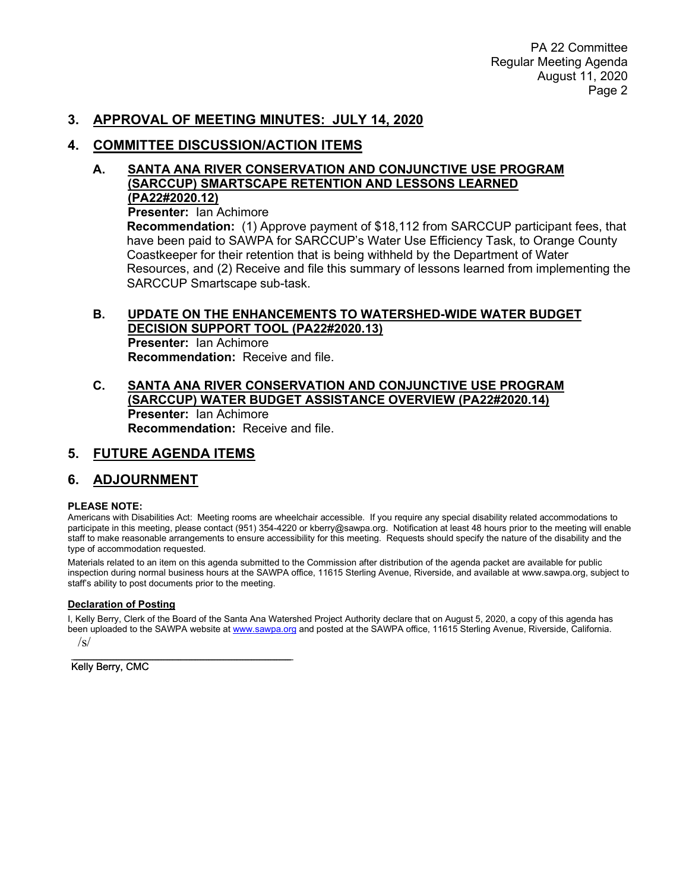#### **3. APPROVAL OF MEETING MINUTES: JULY 14, 2020**

#### **4. COMMITTEE DISCUSSION/ACTION ITEMS**

#### **A. SANTA ANA RIVER CONSERVATION AND CONJUNCTIVE USE PROGRAM (SARCCUP) SMARTSCAPE RETENTION AND LESSONS LEARNED (PA22#2020.12)**

**Presenter:** Ian Achimore

**Recommendation:** (1) Approve payment of \$18,112 from SARCCUP participant fees, that have been paid to SAWPA for SARCCUP's Water Use Efficiency Task, to Orange County Coastkeeper for their retention that is being withheld by the Department of Water Resources, and (2) Receive and file this summary of lessons learned from implementing the SARCCUP Smartscape sub-task.

#### **B. UPDATE ON THE ENHANCEMENTS TO WATERSHED-WIDE WATER BUDGET DECISION SUPPORT TOOL (PA22#2020.13)**

**Presenter:** Ian Achimore **Recommendation:** Receive and file.

#### **C. SANTA ANA RIVER CONSERVATION AND CONJUNCTIVE USE PROGRAM (SARCCUP) WATER BUDGET ASSISTANCE OVERVIEW (PA22#2020.14) Presenter:** Ian Achimore **Recommendation:** Receive and file.

## **5. FUTURE AGENDA ITEMS**

## **6. ADJOURNMENT**

#### **PLEASE NOTE:**

Americans with Disabilities Act: Meeting rooms are wheelchair accessible. If you require any special disability related accommodations to participate in this meeting, please contact (951) 354-4220 or kberry@sawpa.org. Notification at least 48 hours prior to the meeting will enable staff to make reasonable arrangements to ensure accessibility for this meeting. Requests should specify the nature of the disability and the type of accommodation requested.

Materials related to an item on this agenda submitted to the Commission after distribution of the agenda packet are available for public inspection during normal business hours at the SAWPA office, 11615 Sterling Avenue, Riverside, and available at www.sawpa.org, subject to staff's ability to post documents prior to the meeting.

#### **Declaration of Posting**

I, Kelly Berry, Clerk of the Board of the Santa Ana Watershed Project Authority declare that on August 5, 2020, a copy of this agenda has been uploaded to the SAWPA website at [www.sawpa.org](http://www.sawpa.org/) and posted at the SAWPA office, 11615 Sterling Avenue, Riverside, California. /s/

 $\mathcal{L}_\text{max}$  , which is a set of the set of the set of the set of the set of the set of the set of the set of the set of the set of the set of the set of the set of the set of the set of the set of the set of the set of Kelly Berry, CMC  $\overline{\phantom{a}}$  , and the set of the set of the set of the set of the set of the set of the set of the set of the set of the set of the set of the set of the set of the set of the set of the set of the set of the set of the s